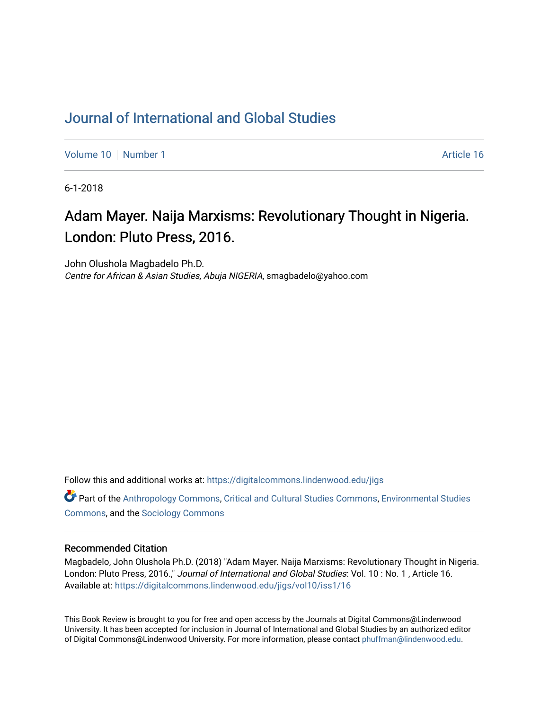## [Journal of International and Global Studies](https://digitalcommons.lindenwood.edu/jigs)

[Volume 10](https://digitalcommons.lindenwood.edu/jigs/vol10) [Number 1](https://digitalcommons.lindenwood.edu/jigs/vol10/iss1) Article 16

6-1-2018

# Adam Mayer. Naija Marxisms: Revolutionary Thought in Nigeria. London: Pluto Press, 2016.

John Olushola Magbadelo Ph.D. Centre for African & Asian Studies, Abuja NIGERIA, smagbadelo@yahoo.com

Follow this and additional works at: [https://digitalcommons.lindenwood.edu/jigs](https://digitalcommons.lindenwood.edu/jigs?utm_source=digitalcommons.lindenwood.edu%2Fjigs%2Fvol10%2Fiss1%2F16&utm_medium=PDF&utm_campaign=PDFCoverPages) 

**C** Part of the [Anthropology Commons](http://network.bepress.com/hgg/discipline/318?utm_source=digitalcommons.lindenwood.edu%2Fjigs%2Fvol10%2Fiss1%2F16&utm_medium=PDF&utm_campaign=PDFCoverPages), [Critical and Cultural Studies Commons](http://network.bepress.com/hgg/discipline/328?utm_source=digitalcommons.lindenwood.edu%2Fjigs%2Fvol10%2Fiss1%2F16&utm_medium=PDF&utm_campaign=PDFCoverPages), Environmental Studies [Commons](http://network.bepress.com/hgg/discipline/1333?utm_source=digitalcommons.lindenwood.edu%2Fjigs%2Fvol10%2Fiss1%2F16&utm_medium=PDF&utm_campaign=PDFCoverPages), and the [Sociology Commons](http://network.bepress.com/hgg/discipline/416?utm_source=digitalcommons.lindenwood.edu%2Fjigs%2Fvol10%2Fiss1%2F16&utm_medium=PDF&utm_campaign=PDFCoverPages)

#### Recommended Citation

Magbadelo, John Olushola Ph.D. (2018) "Adam Mayer. Naija Marxisms: Revolutionary Thought in Nigeria. London: Pluto Press, 2016.," Journal of International and Global Studies: Vol. 10: No. 1, Article 16. Available at: [https://digitalcommons.lindenwood.edu/jigs/vol10/iss1/16](https://digitalcommons.lindenwood.edu/jigs/vol10/iss1/16?utm_source=digitalcommons.lindenwood.edu%2Fjigs%2Fvol10%2Fiss1%2F16&utm_medium=PDF&utm_campaign=PDFCoverPages) 

This Book Review is brought to you for free and open access by the Journals at Digital Commons@Lindenwood University. It has been accepted for inclusion in Journal of International and Global Studies by an authorized editor of Digital Commons@Lindenwood University. For more information, please contact [phuffman@lindenwood.edu](mailto:phuffman@lindenwood.edu).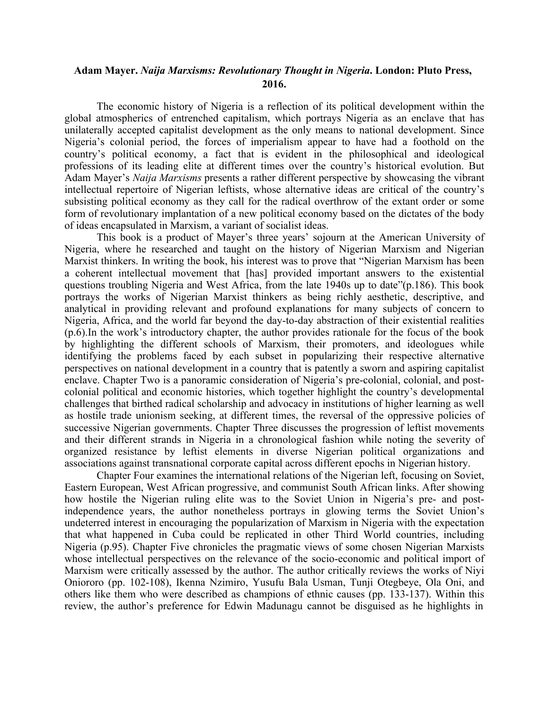### **Adam Mayer.** *Naija Marxisms: Revolutionary Thought in Nigeria***. London: Pluto Press, 2016.**

The economic history of Nigeria is a reflection of its political development within the global atmospherics of entrenched capitalism, which portrays Nigeria as an enclave that has unilaterally accepted capitalist development as the only means to national development. Since Nigeria's colonial period, the forces of imperialism appear to have had a foothold on the country's political economy, a fact that is evident in the philosophical and ideological professions of its leading elite at different times over the country's historical evolution. But Adam Mayer's *Naija Marxisms* presents a rather different perspective by showcasing the vibrant intellectual repertoire of Nigerian leftists, whose alternative ideas are critical of the country's subsisting political economy as they call for the radical overthrow of the extant order or some form of revolutionary implantation of a new political economy based on the dictates of the body of ideas encapsulated in Marxism, a variant of socialist ideas.

This book is a product of Mayer's three years' sojourn at the American University of Nigeria, where he researched and taught on the history of Nigerian Marxism and Nigerian Marxist thinkers. In writing the book, his interest was to prove that "Nigerian Marxism has been a coherent intellectual movement that [has] provided important answers to the existential questions troubling Nigeria and West Africa, from the late 1940s up to date"(p.186). This book portrays the works of Nigerian Marxist thinkers as being richly aesthetic, descriptive, and analytical in providing relevant and profound explanations for many subjects of concern to Nigeria, Africa, and the world far beyond the day-to-day abstraction of their existential realities (p.6).In the work's introductory chapter, the author provides rationale for the focus of the book by highlighting the different schools of Marxism, their promoters, and ideologues while identifying the problems faced by each subset in popularizing their respective alternative perspectives on national development in a country that is patently a sworn and aspiring capitalist enclave. Chapter Two is a panoramic consideration of Nigeria's pre-colonial, colonial, and postcolonial political and economic histories, which together highlight the country's developmental challenges that birthed radical scholarship and advocacy in institutions of higher learning as well as hostile trade unionism seeking, at different times, the reversal of the oppressive policies of successive Nigerian governments. Chapter Three discusses the progression of leftist movements and their different strands in Nigeria in a chronological fashion while noting the severity of organized resistance by leftist elements in diverse Nigerian political organizations and associations against transnational corporate capital across different epochs in Nigerian history.

Chapter Four examines the international relations of the Nigerian left, focusing on Soviet, Eastern European, West African progressive, and communist South African links. After showing how hostile the Nigerian ruling elite was to the Soviet Union in Nigeria's pre- and postindependence years, the author nonetheless portrays in glowing terms the Soviet Union's undeterred interest in encouraging the popularization of Marxism in Nigeria with the expectation that what happened in Cuba could be replicated in other Third World countries, including Nigeria (p.95). Chapter Five chronicles the pragmatic views of some chosen Nigerian Marxists whose intellectual perspectives on the relevance of the socio-economic and political import of Marxism were critically assessed by the author. The author critically reviews the works of Niyi Oniororo (pp. 102-108), Ikenna Nzimiro, Yusufu Bala Usman, Tunji Otegbeye, Ola Oni, and others like them who were described as champions of ethnic causes (pp. 133-137). Within this review, the author's preference for Edwin Madunagu cannot be disguised as he highlights in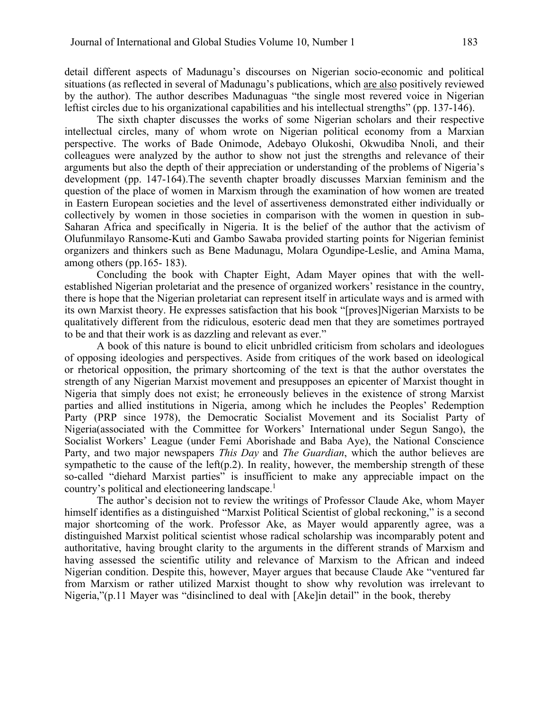detail different aspects of Madunagu's discourses on Nigerian socio-economic and political situations (as reflected in several of Madunagu's publications, which are also positively reviewed by the author). The author describes Madunaguas "the single most revered voice in Nigerian leftist circles due to his organizational capabilities and his intellectual strengths" (pp. 137-146).

The sixth chapter discusses the works of some Nigerian scholars and their respective intellectual circles, many of whom wrote on Nigerian political economy from a Marxian perspective. The works of Bade Onimode, Adebayo Olukoshi, Okwudiba Nnoli, and their colleagues were analyzed by the author to show not just the strengths and relevance of their arguments but also the depth of their appreciation or understanding of the problems of Nigeria's development (pp. 147-164).The seventh chapter broadly discusses Marxian feminism and the question of the place of women in Marxism through the examination of how women are treated in Eastern European societies and the level of assertiveness demonstrated either individually or collectively by women in those societies in comparison with the women in question in sub-Saharan Africa and specifically in Nigeria. It is the belief of the author that the activism of Olufunmilayo Ransome-Kuti and Gambo Sawaba provided starting points for Nigerian feminist organizers and thinkers such as Bene Madunagu, Molara Ogundipe-Leslie, and Amina Mama, among others (pp.165- 183).

Concluding the book with Chapter Eight, Adam Mayer opines that with the wellestablished Nigerian proletariat and the presence of organized workers' resistance in the country, there is hope that the Nigerian proletariat can represent itself in articulate ways and is armed with its own Marxist theory. He expresses satisfaction that his book "[proves]Nigerian Marxists to be qualitatively different from the ridiculous, esoteric dead men that they are sometimes portrayed to be and that their work is as dazzling and relevant as ever."

A book of this nature is bound to elicit unbridled criticism from scholars and ideologues of opposing ideologies and perspectives. Aside from critiques of the work based on ideological or rhetorical opposition, the primary shortcoming of the text is that the author overstates the strength of any Nigerian Marxist movement and presupposes an epicenter of Marxist thought in Nigeria that simply does not exist; he erroneously believes in the existence of strong Marxist parties and allied institutions in Nigeria, among which he includes the Peoples' Redemption Party (PRP since 1978), the Democratic Socialist Movement and its Socialist Party of Nigeria(associated with the Committee for Workers' International under Segun Sango), the Socialist Workers' League (under Femi Aborishade and Baba Aye), the National Conscience Party, and two major newspapers *This Day* and *The Guardian*, which the author believes are sympathetic to the cause of the left(p.2). In reality, however, the membership strength of these so-called "diehard Marxist parties" is insufficient to make any appreciable impact on the country's political and electioneering landscape.1

The author's decision not to review the writings of Professor Claude Ake, whom Mayer himself identifies as a distinguished "Marxist Political Scientist of global reckoning," is a second major shortcoming of the work. Professor Ake, as Mayer would apparently agree, was a distinguished Marxist political scientist whose radical scholarship was incomparably potent and authoritative, having brought clarity to the arguments in the different strands of Marxism and having assessed the scientific utility and relevance of Marxism to the African and indeed Nigerian condition. Despite this, however, Mayer argues that because Claude Ake "ventured far from Marxism or rather utilized Marxist thought to show why revolution was irrelevant to Nigeria,"(p.11 Mayer was "disinclined to deal with [Ake]in detail" in the book, thereby